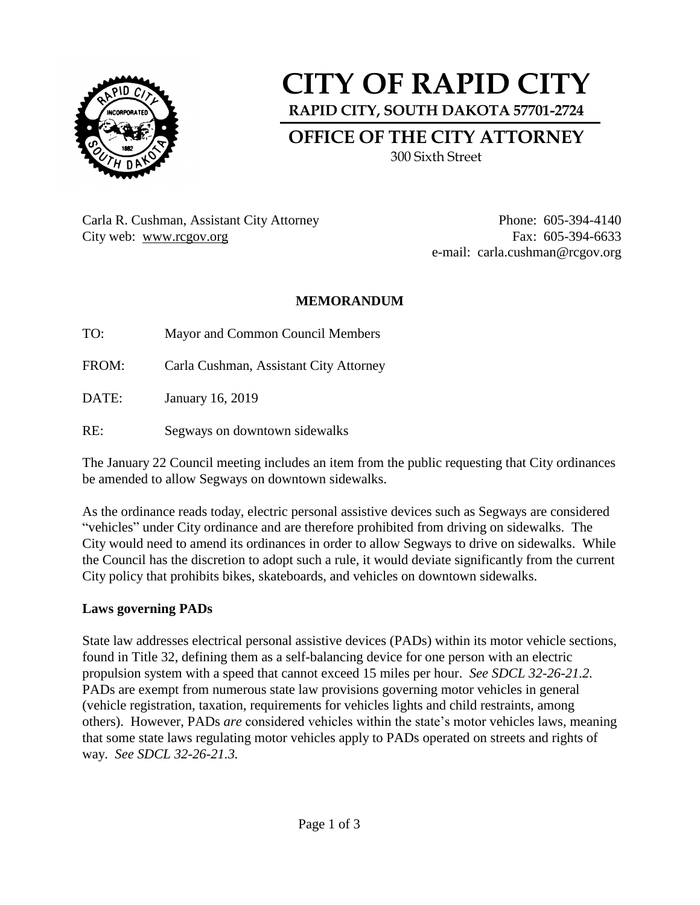

# **CITY OF RAPID CITY RAPID CITY, SOUTH DAKOTA 57701-2724 OFFICE OF THE CITY ATTORNEY**

300 Sixth Street

Carla R. Cushman, Assistant City Attorney Phone: 605-394-4140 City web: [www.rcgov.org](http://www.rcgov.org/) Fax: 605-394-6633

e-mail: carla.cushman@rcgov.org

## **MEMORANDUM**

TO: Mayor and Common Council Members

FROM: Carla Cushman, Assistant City Attorney

DATE: January 16, 2019

RE: Segways on downtown sidewalks

The January 22 Council meeting includes an item from the public requesting that City ordinances be amended to allow Segways on downtown sidewalks.

As the ordinance reads today, electric personal assistive devices such as Segways are considered "vehicles" under City ordinance and are therefore prohibited from driving on sidewalks. The City would need to amend its ordinances in order to allow Segways to drive on sidewalks. While the Council has the discretion to adopt such a rule, it would deviate significantly from the current City policy that prohibits bikes, skateboards, and vehicles on downtown sidewalks.

## **Laws governing PADs**

State law addresses electrical personal assistive devices (PADs) within its motor vehicle sections, found in Title 32, defining them as a self-balancing device for one person with an electric propulsion system with a speed that cannot exceed 15 miles per hour. *See SDCL 32-26-21.2.* PADs are exempt from numerous state law provisions governing motor vehicles in general (vehicle registration, taxation, requirements for vehicles lights and child restraints, among others). However, PADs *are* considered vehicles within the state's motor vehicles laws, meaning that some state laws regulating motor vehicles apply to PADs operated on streets and rights of way. *See SDCL 32-26-21.3.*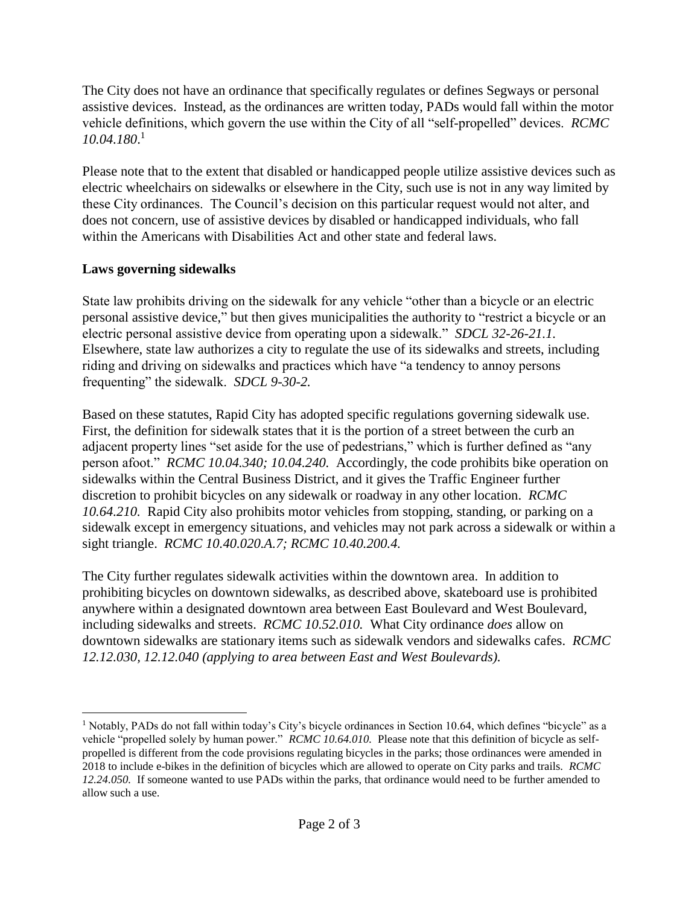The City does not have an ordinance that specifically regulates or defines Segways or personal assistive devices. Instead, as the ordinances are written today, PADs would fall within the motor vehicle definitions, which govern the use within the City of all "self-propelled" devices. *RCMC 10.04.180*. 1

Please note that to the extent that disabled or handicapped people utilize assistive devices such as electric wheelchairs on sidewalks or elsewhere in the City, such use is not in any way limited by these City ordinances. The Council's decision on this particular request would not alter, and does not concern, use of assistive devices by disabled or handicapped individuals, who fall within the Americans with Disabilities Act and other state and federal laws.

## **Laws governing sidewalks**

State law prohibits driving on the sidewalk for any vehicle "other than a bicycle or an electric personal assistive device," but then gives municipalities the authority to "restrict a bicycle or an electric personal assistive device from operating upon a sidewalk." *SDCL 32-26-21.1.*  Elsewhere, state law authorizes a city to regulate the use of its sidewalks and streets, including riding and driving on sidewalks and practices which have "a tendency to annoy persons frequenting" the sidewalk. *SDCL 9-30-2.* 

Based on these statutes, Rapid City has adopted specific regulations governing sidewalk use. First, the definition for sidewalk states that it is the portion of a street between the curb an adjacent property lines "set aside for the use of pedestrians," which is further defined as "any person afoot." *RCMC 10.04.340; 10.04.240.* Accordingly, the code prohibits bike operation on sidewalks within the Central Business District, and it gives the Traffic Engineer further discretion to prohibit bicycles on any sidewalk or roadway in any other location. *RCMC 10.64.210.* Rapid City also prohibits motor vehicles from stopping, standing, or parking on a sidewalk except in emergency situations, and vehicles may not park across a sidewalk or within a sight triangle. *RCMC 10.40.020.A.7; RCMC 10.40.200.4.*

The City further regulates sidewalk activities within the downtown area. In addition to prohibiting bicycles on downtown sidewalks, as described above, skateboard use is prohibited anywhere within a designated downtown area between East Boulevard and West Boulevard, including sidewalks and streets. *RCMC 10.52.010.* What City ordinance *does* allow on downtown sidewalks are stationary items such as sidewalk vendors and sidewalks cafes. *RCMC 12.12.030, 12.12.040 (applying to area between East and West Boulevards).*

 $\overline{a}$ <sup>1</sup> Notably, PADs do not fall within today's City's bicycle ordinances in Section 10.64, which defines "bicycle" as a vehicle "propelled solely by human power." *RCMC 10.64.010.* Please note that this definition of bicycle as selfpropelled is different from the code provisions regulating bicycles in the parks; those ordinances were amended in 2018 to include e-bikes in the definition of bicycles which are allowed to operate on City parks and trails. *RCMC 12.24.050.* If someone wanted to use PADs within the parks, that ordinance would need to be further amended to allow such a use.